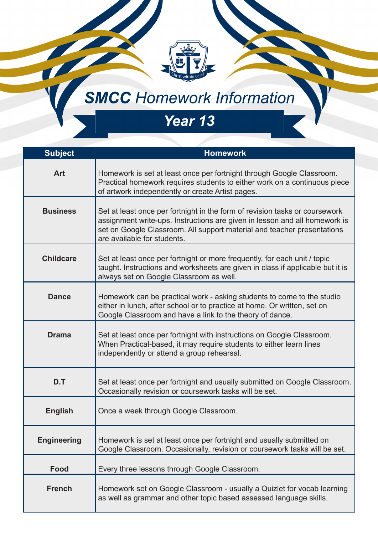## **SMCC** Homework Information

## *Year 13*

| <b>Subject</b>     | <b>Homework</b>                                                                                                                                                                                                                                                     |
|--------------------|---------------------------------------------------------------------------------------------------------------------------------------------------------------------------------------------------------------------------------------------------------------------|
| Art                | Homework is set at least once per fortnight through Google Classroom.<br>Practical homework requires students to either work on a continuous piece<br>of artwork independently or create Artist pages.                                                              |
| <b>Business</b>    | Set at least once per fortnight in the form of revision tasks or coursework<br>assignment write-ups. Instructions are given in lesson and all homework is<br>set on Google Classroom. All support material and teacher presentations<br>are available for students. |
| <b>Childcare</b>   | Set at least once per fortnight or more frequently, for each unit / topic<br>taught. Instructions and worksheets are given in class if applicable but it is<br>always set on Google Classroom as well.                                                              |
| <b>Dance</b>       | Homework can be practical work - asking students to come to the studio<br>either in lunch, after school or to practice at home. Or written, set on<br>Google Classroom and have a link to the theory of dance.                                                      |
| <b>Drama</b>       | Set at least once per fortnight with instructions on Google Classroom.<br>When Practical-based, it may require students to either learn lines<br>independently or attend a group rehearsal.                                                                         |
| D.T                | Set at least once per fortnight and usually submitted on Google Classroom.<br>Occasionally revision or coursework tasks will be set.                                                                                                                                |
| <b>English</b>     | Once a week through Google Classroom.                                                                                                                                                                                                                               |
| <b>Engineering</b> | Homework is set at least once per fortnight and usually submitted on<br>Google Classroom. Occasionally, revision or coursework tasks will be set.                                                                                                                   |
| <b>Food</b>        | Every three lessons through Google Classroom.                                                                                                                                                                                                                       |
| <b>French</b>      | Homework set on Google Classroom - usually a Quizlet for vocab learning<br>as well as grammar and other topic based assessed language skills.                                                                                                                       |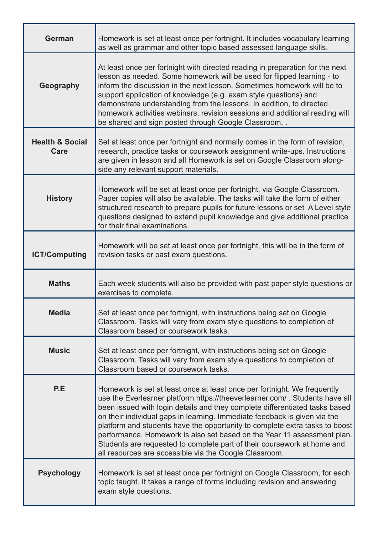| <b>German</b>                      | Homework is set at least once per fortnight. It includes vocabulary learning<br>as well as grammar and other topic based assessed language skills.                                                                                                                                                                                                                                                                                                                                                                                                                                                                 |
|------------------------------------|--------------------------------------------------------------------------------------------------------------------------------------------------------------------------------------------------------------------------------------------------------------------------------------------------------------------------------------------------------------------------------------------------------------------------------------------------------------------------------------------------------------------------------------------------------------------------------------------------------------------|
| Geography                          | At least once per fortnight with directed reading in preparation for the next<br>lesson as needed. Some homework will be used for flipped learning - to<br>inform the discussion in the next lesson. Sometimes homework will be to<br>support application of knowledge (e.g. exam style questions) and<br>demonstrate understanding from the lessons. In addition, to directed<br>homework activities webinars, revision sessions and additional reading will<br>be shared and sign posted through Google Classroom                                                                                                |
| <b>Health &amp; Social</b><br>Care | Set at least once per fortnight and normally comes in the form of revision,<br>research, practice tasks or coursework assignment write-ups. Instructions<br>are given in lesson and all Homework is set on Google Classroom along-<br>side any relevant support materials.                                                                                                                                                                                                                                                                                                                                         |
| <b>History</b>                     | Homework will be set at least once per fortnight, via Google Classroom.<br>Paper copies will also be available. The tasks will take the form of either<br>structured research to prepare pupils for future lessons or set A Level style<br>questions designed to extend pupil knowledge and give additional practice<br>for their final examinations.                                                                                                                                                                                                                                                              |
| <b>ICT/Computing</b>               | Homework will be set at least once per fortnight, this will be in the form of<br>revision tasks or past exam questions.                                                                                                                                                                                                                                                                                                                                                                                                                                                                                            |
| <b>Maths</b>                       | Each week students will also be provided with past paper style questions or<br>exercises to complete.                                                                                                                                                                                                                                                                                                                                                                                                                                                                                                              |
| <b>Media</b>                       | Set at least once per fortnight, with instructions being set on Google<br>Classroom. Tasks will vary from exam style questions to completion of<br>Classroom based or coursework tasks.                                                                                                                                                                                                                                                                                                                                                                                                                            |
| <b>Music</b>                       | Set at least once per fortnight, with instructions being set on Google<br>Classroom. Tasks will vary from exam style questions to completion of<br>Classroom based or coursework tasks.                                                                                                                                                                                                                                                                                                                                                                                                                            |
| P.E                                | Homework is set at least once at least once per fortnight. We frequently<br>use the Everlearner platform https://theeverlearner.com/. Students have all<br>been issued with login details and they complete differentiated tasks based<br>on their individual gaps in learning. Immediate feedback is given via the<br>platform and students have the opportunity to complete extra tasks to boost<br>performance. Homework is also set based on the Year 11 assessment plan.<br>Students are requested to complete part of their coursework at home and<br>all resources are accessible via the Google Classroom. |
| <b>Psychology</b>                  | Homework is set at least once per fortnight on Google Classroom, for each<br>topic taught. It takes a range of forms including revision and answering<br>exam style questions.                                                                                                                                                                                                                                                                                                                                                                                                                                     |